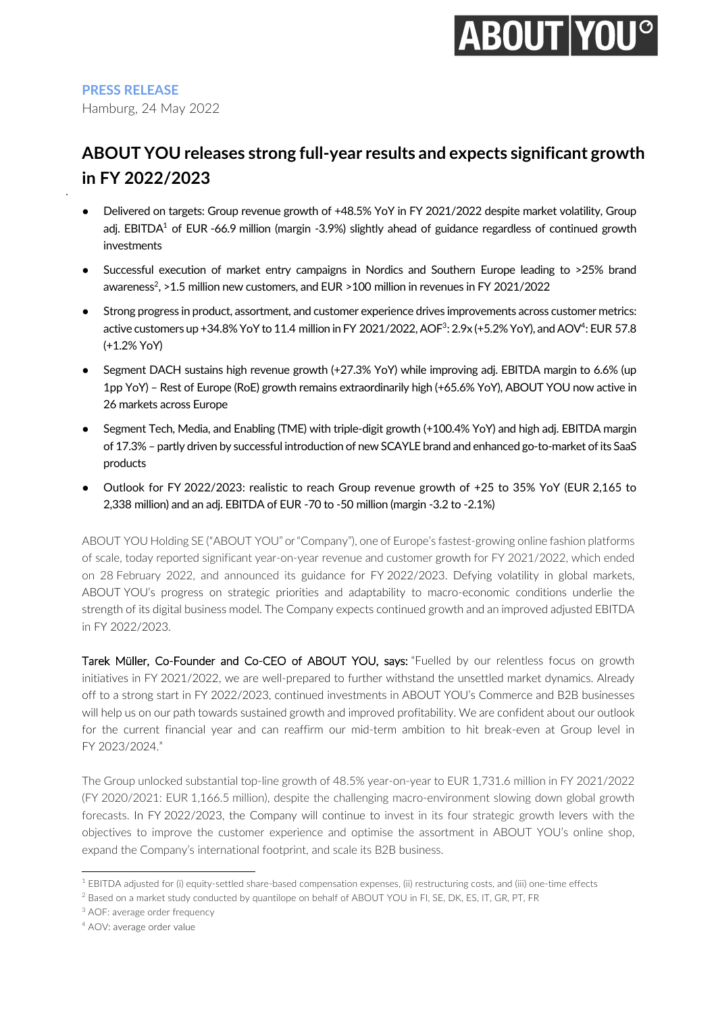# **ABOUT YOU<sup>°</sup>**

**PRESS RELEASE**

●

Hamburg, 24 May 2022

### **ABOUT YOU releases strong full-year results and expects significant growth in FY 2022/2023**

- Delivered on targets: Group revenue growth of +48.5% YoY in FY 2021/2022 despite market volatility, Group adj. EBITDA<sup>1</sup> of EUR -66.9 million (margin -3.9%) slightly ahead of guidance regardless of continued growth investments
- Successful execution of market entry campaigns in Nordics and Southern Europe leading to >25% brand awareness $^2$ , >1.5 million new customers, and EUR >100 million in revenues in FY 2021/2022
- Strong progress in product, assortment, and customer experience drives improvements across customer metrics: active customers up +34.8% YoY to 11.4 million in FY 2021/2022, AOF<sup>3</sup>: 2.9x (+5.2% YoY), and AOV<sup>4</sup>: EUR 57.8 (+1.2% YoY)
- Segment DACH sustains high revenue growth (+27.3% YoY) while improving adj. EBITDA margin to 6.6% (up 1pp YoY) – Rest of Europe (RoE) growth remains extraordinarily high (+65.6% YoY), ABOUT YOU now active in 26 markets across Europe
- Segment Tech, Media, and Enabling (TME) with triple-digit growth (+100.4% YoY) and high adj. EBITDA margin of 17.3% – partly driven by successful introduction of new SCAYLE brand and enhanced go-to-market of its SaaS products
- Outlook for FY 2022/2023: realistic to reach Group revenue growth of +25 to 35% YoY (EUR 2,165 to 2,338 million) and an adj. EBITDA of EUR -70 to -50 million (margin -3.2 to -2.1%)

ABOUT YOU Holding SE ("ABOUT YOU" or "Company"), one of Europe's fastest-growing online fashion platforms of scale, today reported significant year-on-year revenue and customer growth for FY 2021/2022, which ended on 28 February 2022, and announced its guidance for FY 2022/2023. Defying volatility in global markets, ABOUT YOU's progress on strategic priorities and adaptability to macro-economic conditions underlie the strength of its digital business model. The Company expects continued growth and an improved adjusted EBITDA in FY 2022/2023.

Tarek Müller, Co-Founder and Co-CEO of ABOUT YOU, says: "Fuelled by our relentless focus on growth initiatives in FY 2021/2022, we are well-prepared to further withstand the unsettled market dynamics. Already off to a strong start in FY 2022/2023, continued investments in ABOUT YOU's Commerce and B2B businesses will help us on our path towards sustained growth and improved profitability. We are confident about our outlook for the current financial year and can reaffirm our mid-term ambition to hit break-even at Group level in FY 2023/2024."

The Group unlocked substantial top-line growth of 48.5% year-on-year to EUR 1,731.6 million in FY 2021/2022 (FY 2020/2021: EUR 1,166.5 million), despite the challenging macro-environment slowing down global growth forecasts. In FY 2022/2023, the Company will continue to invest in its four strategic growth levers with the objectives to improve the customer experience and optimise the assortment in ABOUT YOU's online shop, expand the Company's international footprint, and scale its B2B business.

<sup>1</sup> EBITDA adjusted for (i) equity-settled share-based compensation expenses, (ii) restructuring costs, and (iii) one-time effects

<sup>&</sup>lt;sup>2</sup> Based on a market study conducted by quantilope on behalf of ABOUT YOU in FI, SE, DK, ES, IT, GR, PT, FR

<sup>3</sup> AOF: average order frequency

<sup>4</sup> AOV: average order value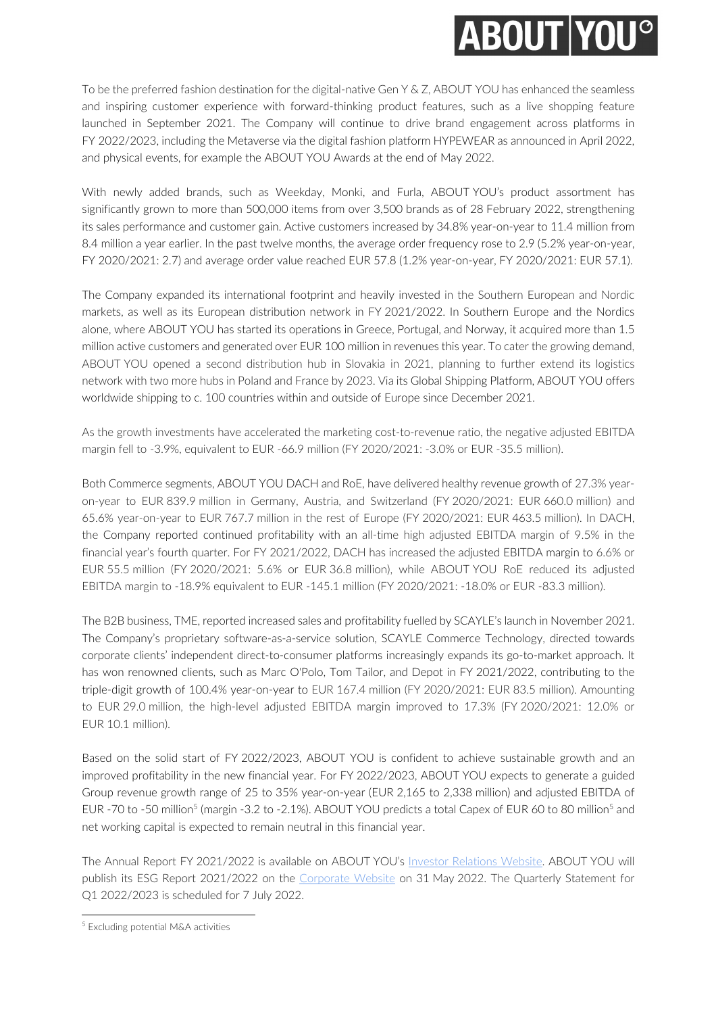## **ABOUT YOU<sup>o</sup>**

To be the preferred fashion destination for the digital-native Gen Y & Z, ABOUT YOU has enhanced the seamless and inspiring customer experience with forward-thinking product features, such as a live shopping feature launched in September 2021. The Company will continue to drive brand engagement across platforms in FY 2022/2023, including the Metaverse via the digital fashion platform HYPEWEAR as announced in April 2022, and physical events, for example the ABOUT YOU Awards at the end of May 2022.

With newly added brands, such as Weekday, Monki, and Furla, ABOUT YOU's product assortment has significantly grown to more than 500,000 items from over 3,500 brands as of 28 February 2022, strengthening its sales performance and customer gain. Active customers increased by 34.8% year-on-year to 11.4 million from 8.4 million a year earlier. In the past twelve months, the average order frequency rose to 2.9 (5.2% year-on-year, FY 2020/2021: 2.7) and average order value reached EUR 57.8 (1.2% year-on-year, FY 2020/2021: EUR 57.1).

The Company expanded its international footprint and heavily invested in the Southern European and Nordic markets, as well as its European distribution network in FY 2021/2022. In Southern Europe and the Nordics alone, where ABOUT YOU has started its operations in Greece, Portugal, and Norway, it acquired more than 1.5 million active customers and generated over EUR 100 million in revenues this year. To cater the growing demand, ABOUT YOU opened a second distribution hub in Slovakia in 2021, planning to further extend its logistics network with two more hubs in Poland and France by 2023. Via its Global Shipping Platform, ABOUT YOU offers worldwide shipping to c. 100 countries within and outside of Europe since December 2021.

As the growth investments have accelerated the marketing cost-to-revenue ratio, the negative adjusted EBITDA margin fell to -3.9%, equivalent to EUR -66.9 million (FY 2020/2021: -3.0% or EUR -35.5 million).

Both Commerce segments, ABOUT YOU DACH and RoE, have delivered healthy revenue growth of 27.3% yearon-year to EUR 839.9 million in Germany, Austria, and Switzerland (FY 2020/2021: EUR 660.0 million) and 65.6% year-on-year to EUR 767.7 million in the rest of Europe (FY 2020/2021: EUR 463.5 million). In DACH, the Company reported continued profitability with an all-time high adjusted EBITDA margin of 9.5% in the financial year's fourth quarter. For FY 2021/2022, DACH has increased the adjusted EBITDA margin to 6.6% or EUR 55.5 million (FY 2020/2021: 5.6% or EUR 36.8 million), while ABOUT YOU RoE reduced its adjusted EBITDA margin to -18.9% equivalent to EUR -145.1 million (FY 2020/2021: -18.0% or EUR -83.3 million).

The B2B business, TME, reported increased sales and profitability fuelled by SCAYLE's launch in November 2021. The Company's proprietary software-as-a-service solution, SCAYLE Commerce Technology, directed towards corporate clients' independent direct-to-consumer platforms increasingly expands its go-to-market approach. It has won renowned clients, such as Marc O'Polo, Tom Tailor, and Depot in FY 2021/2022, contributing to the triple-digit growth of 100.4% year-on-year to EUR 167.4 million (FY 2020/2021: EUR 83.5 million). Amounting to EUR 29.0 million, the high-level adjusted EBITDA margin improved to 17.3% (FY 2020/2021: 12.0% or EUR 10.1 million).

Based on the solid start of FY 2022/2023, ABOUT YOU is confident to achieve sustainable growth and an improved profitability in the new financial year. For FY 2022/2023, ABOUT YOU expects to generate a guided Group revenue growth range of 25 to 35% year-on-year (EUR 2,165 to 2,338 million) and adjusted EBITDA of EUR -70 to -50 million<sup>5</sup> (margin -3.2 to -2.1%). ABOUT YOU predicts a total Capex of EUR 60 to 80 million<sup>5</sup> and net working capital is expected to remain neutral in this financial year.

The Annual Report FY 2021/2022 is available on ABOUT YOU's Investor Relations Website. ABOUT YOU will publish its ESG Report 2021/2022 on the Corporate Website on 31 May 2022. The Quarterly Statement for Q1 2022/2023 is scheduled for 7 July 2022.

<sup>5</sup> Excluding potential M&A activities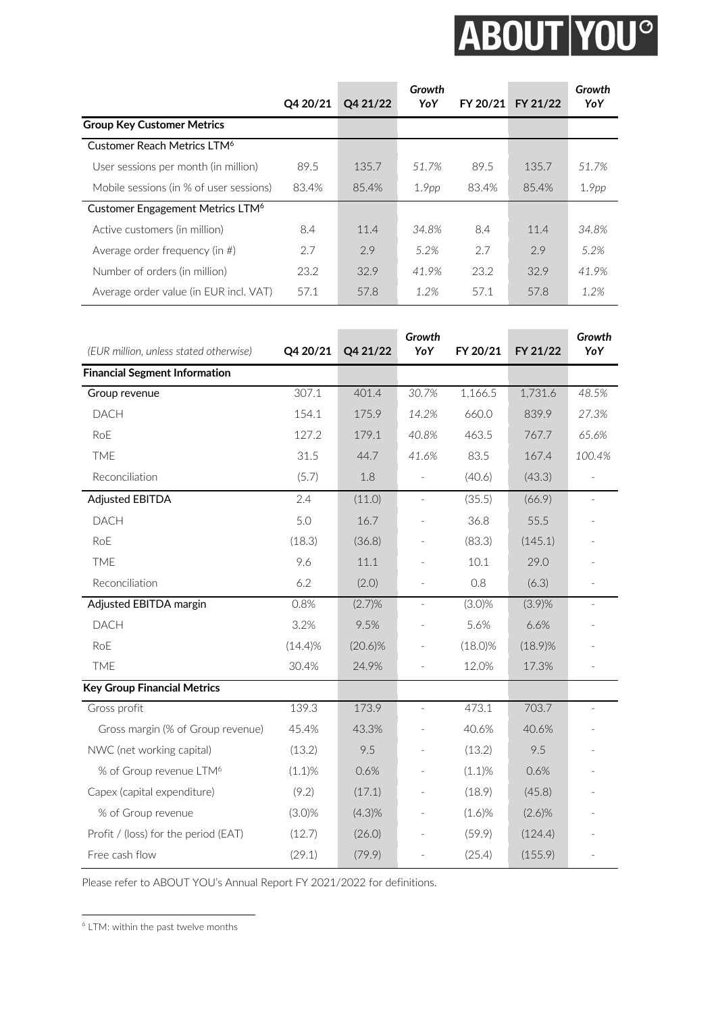# ABOUT YOU<sup>®</sup>

|                                              | Q4 20/21 | Q4 21/22 | Growth<br>YoY     | FY 20/21 | FY 21/22 | Growth<br>YoY     |
|----------------------------------------------|----------|----------|-------------------|----------|----------|-------------------|
| <b>Group Key Customer Metrics</b>            |          |          |                   |          |          |                   |
| Customer Reach Metrics LTM <sup>6</sup>      |          |          |                   |          |          |                   |
| User sessions per month (in million)         | 89.5     | 135.7    | 51.7%             | 89.5     | 135.7    | 51.7%             |
| Mobile sessions (in % of user sessions)      | 83.4%    | 85.4%    | 1.9 <sub>pp</sub> | 83.4%    | 85.4%    | 1.9 <sub>pp</sub> |
| Customer Engagement Metrics LTM <sup>6</sup> |          |          |                   |          |          |                   |
| Active customers (in million)                | 8.4      | 11.4     | 34.8%             | 8.4      | 11.4     | 34.8%             |
| Average order frequency (in $#$ )            | 2.7      | 2.9      | 5.2%              | 2.7      | 2.9      | 5.2%              |
| Number of orders (in million)                | 23.2     | 32.9     | 41.9%             | 23.2     | 32.9     | 41.9%             |
| Average order value (in EUR incl. VAT)       | 57.1     | 57.8     | 1.2%              | 57.1     | 57.8     | 1.2%              |

| (EUR million, unless stated otherwise) | Q4 20/21   | Q4 21/22   | Growth<br>YoY | FY 20/21   | FY 21/22   | Growth<br>YoY       |
|----------------------------------------|------------|------------|---------------|------------|------------|---------------------|
| <b>Financial Segment Information</b>   |            |            |               |            |            |                     |
| Group revenue                          | 307.1      | 401.4      | 30.7%         | 1,166.5    | 1,731.6    | 48.5%               |
| DACH                                   | 154.1      | 175.9      | 14.2%         | 660.0      | 839.9      | 27.3%               |
| RoE                                    | 127.2      | 179.1      | 40.8%         | 463.5      | 767.7      | 65.6%               |
| <b>TME</b>                             | 31.5       | 44.7       | 41.6%         | 83.5       | 167.4      | 100.4%              |
| Reconciliation                         | (5.7)      | 1.8        |               | (40.6)     | (43.3)     |                     |
| <b>Adjusted EBITDA</b>                 | 2.4        | (11.0)     | $\Box$        | (35.5)     | (66.9)     | $\bar{ }$           |
| <b>DACH</b>                            | 5.0        | 16.7       |               | 36.8       | 55.5       |                     |
| RoE                                    | (18.3)     | (36.8)     |               | (83.3)     | (145.1)    |                     |
| <b>TME</b>                             | 9.6        | 11.1       |               | 10.1       | 29.0       |                     |
| Reconciliation                         | 6.2        | (2.0)      |               | 0.8        | (6.3)      |                     |
| Adjusted EBITDA margin                 | 0.8%       | (2.7)%     | $\Box$        | $(3.0)\%$  | $(3.9)\%$  | $\bar{\phantom{a}}$ |
| <b>DACH</b>                            | 3.2%       | 9.5%       |               | 5.6%       | 6.6%       |                     |
| RoE                                    | $(14.4)\%$ | $(20.6)\%$ |               | $(18.0)\%$ | $(18.9)\%$ |                     |
| <b>TME</b>                             | 30.4%      | 24.9%      |               | 12.0%      | 17.3%      |                     |
| <b>Key Group Financial Metrics</b>     |            |            |               |            |            |                     |
| Gross profit                           | 139.3      | 173.9      |               | 473.1      | 703.7      |                     |
| Gross margin (% of Group revenue)      | 45.4%      | 43.3%      |               | 40.6%      | 40.6%      |                     |
| NWC (net working capital)              | (13.2)     | 9.5        |               | (13.2)     | 9.5        |                     |
| % of Group revenue LTM <sup>6</sup>    | $(1.1)\%$  | 0.6%       |               | $(1.1)\%$  | 0.6%       |                     |
| Capex (capital expenditure)            | (9.2)      | (17.1)     |               | (18.9)     | (45.8)     |                     |
| % of Group revenue                     | $(3.0)\%$  | (4.3)%     |               | $(1.6)\%$  | $(2.6)\%$  |                     |
| Profit / (loss) for the period (EAT)   | (12.7)     | (26.0)     |               | (59.9)     | (124.4)    |                     |
| Free cash flow                         | (29.1)     | (79.9)     |               | (25.4)     | (155.9)    |                     |

Please refer to ABOUT YOU's Annual Report FY 2021/2022 for definitions.

 $<sup>6</sup>$  LTM: within the past twelve months</sup>